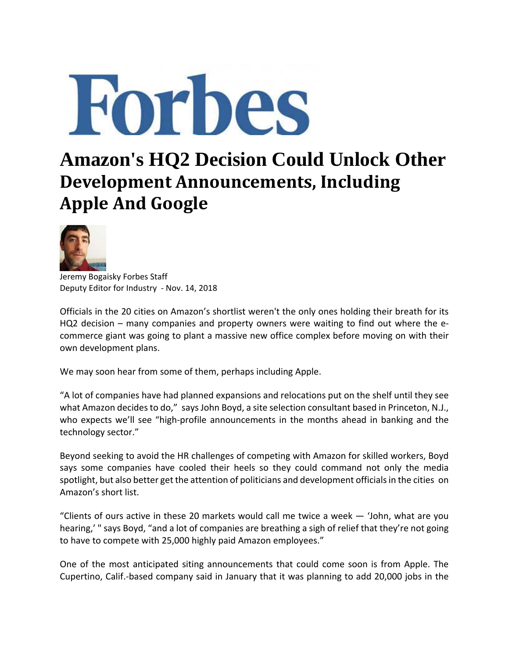

## **Amazon's HQ2 Decision Could Unlock Other Development Announcements, Including Apple And Google**



Jeremy Bogaisky Forbes Staff Deputy Editor for Industry ‐ Nov. 14, 2018

Officials in the 20 cities on Amazon's shortlist weren't the only ones holding their breath for its HQ2 decision – many companies and property owners were waiting to find out where the ecommerce giant was going to plant a massive new office complex before moving on with their own development plans.

We may soon hear from some of them, perhaps including Apple.

"A lot of companies have had planned expansions and relocations put on the shelf until they see what Amazon decides to do," says John Boyd, a site selection consultant based in Princeton, N.J., who expects we'll see "high-profile announcements in the months ahead in banking and the technology sector."

Beyond seeking to avoid the HR challenges of competing with Amazon for skilled workers, Boyd says some companies have cooled their heels so they could command not only the media spotlight, but also better get the attention of politicians and development officials in the cities on Amazon's short list.

"Clients of ours active in these 20 markets would call me twice a week  $-$  'John, what are you hearing,' " says Boyd, "and a lot of companies are breathing a sigh of relief that they're not going to have to compete with 25,000 highly paid Amazon employees."

One of the most anticipated siting announcements that could come soon is from Apple. The Cupertino, Calif.‐based company said in January that it was planning to add 20,000 jobs in the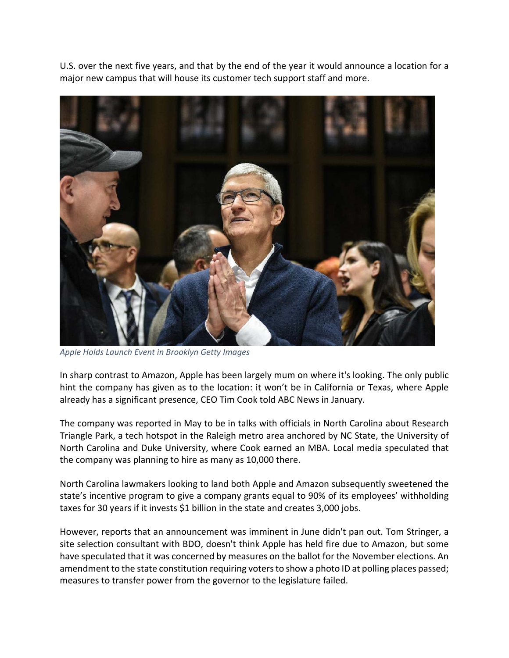U.S. over the next five years, and that by the end of the year it would announce a location for a major new campus that will house its customer tech support staff and more.



*Apple Holds Launch Event in Brooklyn Getty Images*

In sharp contrast to Amazon, Apple has been largely mum on where it's looking. The only public hint the company has given as to the location: it won't be in California or Texas, where Apple already has a significant presence, CEO Tim Cook told ABC News in January.

The company was reported in May to be in talks with officials in North Carolina about Research Triangle Park, a tech hotspot in the Raleigh metro area anchored by NC State, the University of North Carolina and Duke University, where Cook earned an MBA. Local media speculated that the company was planning to hire as many as 10,000 there.

North Carolina lawmakers looking to land both Apple and Amazon subsequently sweetened the state's incentive program to give a company grants equal to 90% of its employees' withholding taxes for 30 years if it invests \$1 billion in the state and creates 3,000 jobs.

However, reports that an announcement was imminent in June didn't pan out. Tom Stringer, a site selection consultant with BDO, doesn't think Apple has held fire due to Amazon, but some have speculated that it was concerned by measures on the ballot for the November elections. An amendment to the state constitution requiring voters to show a photo ID at polling places passed; measures to transfer power from the governor to the legislature failed.